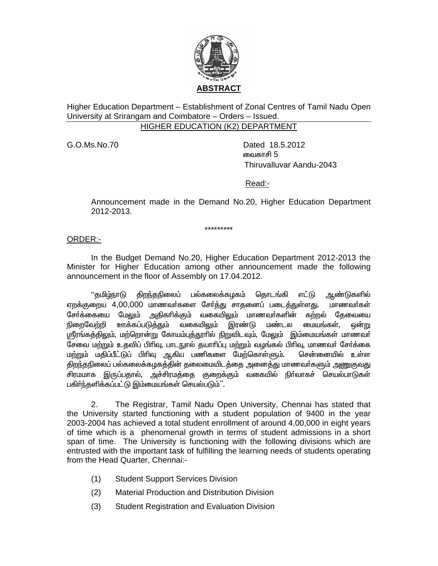

Higher Education Department – Establishment of Zonal Centres of Tamil Nadu Open University at Srirangam and Coimbatore - Orders - Issued. **HIGHER EDUCATION (K2) DEPARTMENT** 

G.O.Ms.No.70

Dated 18.5.2012 வைகாசி 5 Thiruvalluvar Aandu-2043

Read:-

Announcement made in the Demand No.20, Higher Education Department 2012-2013.

\*\*\*\*\*\*\*\*\*

ORDER:-

In the Budget Demand No.20, Higher Education Department 2012-2013 the Minister for Higher Education among other announcement made the following announcement in the floor of Assembly on 17.04.2012.

''தமிழ்நாடு திறந்தநிலைப் பல்கலைக்கழகம் தொடங்கி எட்டு ஆண்டுகளில் ஏறக்குறைய 4,00,000 மாணவர்களை சேர்த்து சாதனைப் படைத்துள்ளது. மாணவர்கள் சேர்க்கையை மேலும் அதிகரிக்கும் வகையிலும் மாணவர்களின் கற்றல் தேவையை ஊக்கப்படுத்<u>த</u>ும் வகையிலும் மண்டல மையங்கள், நிறைவேற்றி இரண்டு ஔ்று <u>ஸ்ரீரங்கத்திலும், மற்றொன்று கோயம்புத்தூரில் நிறுவிடவும், மேலும் இம்மையங்கள் மாணவர்</u> சேவை மற்றும் உதவிப் பிரிவு, பாடநூல் தயாரிப்பு மற்றும் வழங்கல் பிரிவு, மாணவர் சேர்க்கை .<br>மற்றும் மதிப்பீட்டுப் பிரிவ ஆகிய பணிகளை மேற்கொள்ளும். சென்னையில் உள்ள திறந்தநிலைப் பல்கலைக்கழகத்தின் தலைமையிடத்தை அனைத்து மாணவர்களும் அணுகுவது சிரமமாக இருப்பதால், அச்சிரமத்தை குறைக்கும் வகையில் நிர்வாகச் செயல்பாடுகள் பகிர்ந்தளிக்கப்பட்டு இம்மையங்கள் செயல்படும்''.

 $2.$ The Registrar, Tamil Nadu Open University, Chennai has stated that the University started functioning with a student population of 9400 in the year 2003-2004 has achieved a total student enrollment of around 4,00,000 in eight years of time which is a phenomenal growth in terms of student admissions in a short span of time. The University is functioning with the following divisions which are entrusted with the important task of fulfilling the learning needs of students operating from the Head Quarter, Chennai:-

- $(1)$ **Student Support Services Division**
- $(2)$ **Material Production and Distribution Division**
- $(3)$ Student Registration and Evaluation Division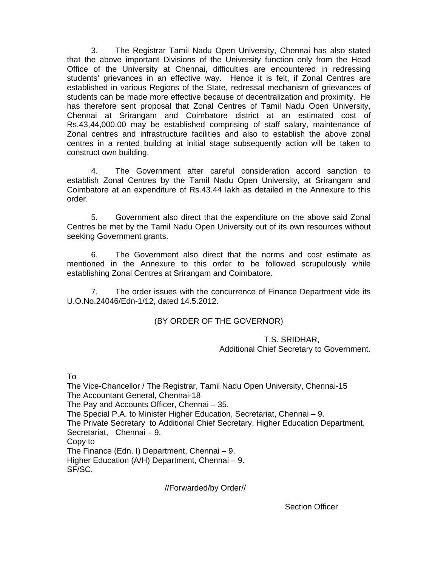3. The Registrar Tamil Nadu Open University, Chennai has also stated that the above important Divisions of the University function only from the Head Office of the University at Chennai, difficulties are encountered in redressing students' grievances in an effective way. Hence it is felt, if Zonal Centres are established in various Regions of the State, redressal mechanism of grievances of students can be made more effective because of decentralization and proximity. He has therefore sent proposal that Zonal Centres of Tamil Nadu Open University, Chennai at Srirangam and Coimbatore district at an estimated cost of Rs.43,44,000.00 may be established comprising of staff salary, maintenance of Zonal centres and infrastructure facilities and also to establish the above zonal centres in a rented building at initial stage subsequently action will be taken to construct own building.

 4. The Government after careful consideration accord sanction to establish Zonal Centres by the Tamil Nadu Open University, at Srirangam and Coimbatore at an expenditure of Rs.43.44 lakh as detailed in the Annexure to this order.

 5. Government also direct that the expenditure on the above said Zonal Centres be met by the Tamil Nadu Open University out of its own resources without seeking Government grants.

 6. The Government also direct that the norms and cost estimate as mentioned in the Annexure to this order to be followed scrupulously while establishing Zonal Centres at Srirangam and Coimbatore.

 7. The order issues with the concurrence of Finance Department vide its U.O.No.24046/Edn-1/12, dated 14.5.2012.

## (BY ORDER OF THE GOVERNOR)

## T.S. SRIDHAR, Additional Chief Secretary to Government.

To

The Vice-Chancellor / The Registrar, Tamil Nadu Open University, Chennai-15 The Accountant General, Chennai-18 The Pay and Accounts Officer, Chennai – 35. The Special P.A. to Minister Higher Education, Secretariat, Chennai – 9. The Private Secretary to Additional Chief Secretary, Higher Education Department, Secretariat, Chennai – 9. Copy to The Finance (Edn. I) Department, Chennai – 9. Higher Education (A/H) Department, Chennai – 9. SF/SC.

//Forwarded/by Order//

Section Officer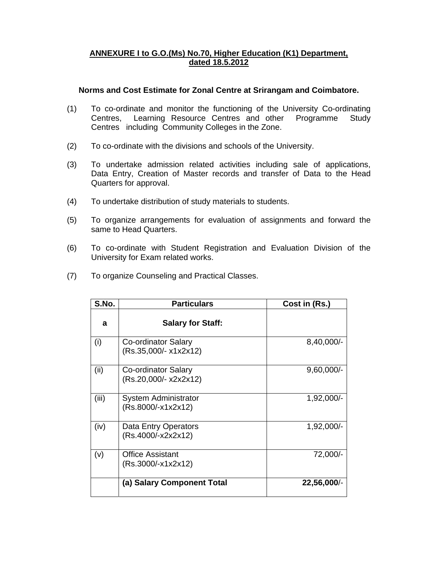## **ANNEXURE I to G.O.(Ms) No.70, Higher Education (K1) Department, dated 18.5.2012**

## **Norms and Cost Estimate for Zonal Centre at Srirangam and Coimbatore.**

- (1) To co-ordinate and monitor the functioning of the University Co-ordinating Centres, Learning Resource Centres and other Programme Study Centres including Community Colleges in the Zone.
- (2) To co-ordinate with the divisions and schools of the University.
- (3) To undertake admission related activities including sale of applications, Data Entry, Creation of Master records and transfer of Data to the Head Quarters for approval.
- (4) To undertake distribution of study materials to students.
- (5) To organize arrangements for evaluation of assignments and forward the same to Head Quarters.
- (6) To co-ordinate with Student Registration and Evaluation Division of the University for Exam related works.
- (7) To organize Counseling and Practical Classes.

| S.No. | <b>Particulars</b>                            | Cost in (Rs.) |
|-------|-----------------------------------------------|---------------|
| a     | <b>Salary for Staff:</b>                      |               |
| (i)   | Co-ordinator Salary<br>(Rs.35,000/- x1x2x12)  | 8,40,000/-    |
| (ii)  | Co-ordinator Salary<br>(Rs.20,000/- x2x2x12)  | $9,60,000/-$  |
| (iii) | System Administrator<br>(Rs.8000/-x1x2x12)    | $1,92,000/-$  |
| (iv)  | Data Entry Operators<br>(Rs.4000/-x2x2x12)    | $1,92,000/-$  |
| (v)   | <b>Office Assistant</b><br>(Rs.3000/-x1x2x12) | 72,000/-      |
|       | (a) Salary Component Total                    | 22,56,000/-   |